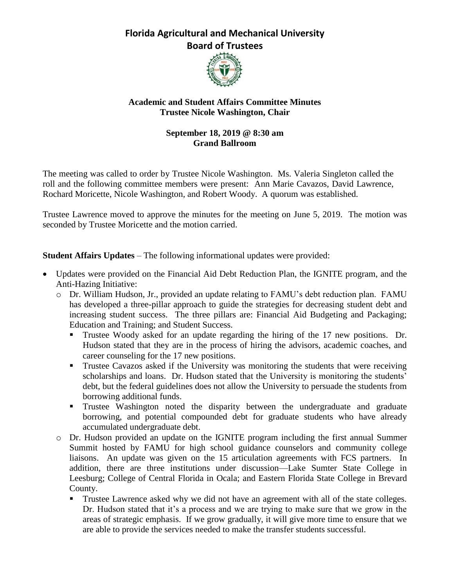## **Florida Agricultural and Mechanical University Board of Trustees**



## **Academic and Student Affairs Committee Minutes Trustee Nicole Washington, Chair**

## **September 18, 2019 @ 8:30 am Grand Ballroom**

The meeting was called to order by Trustee Nicole Washington. Ms. Valeria Singleton called the roll and the following committee members were present: Ann Marie Cavazos, David Lawrence, Rochard Moricette, Nicole Washington, and Robert Woody. A quorum was established.

Trustee Lawrence moved to approve the minutes for the meeting on June 5, 2019. The motion was seconded by Trustee Moricette and the motion carried.

**Student Affairs Updates – The following informational updates were provided:** 

- Updates were provided on the Financial Aid Debt Reduction Plan, the IGNITE program, and the Anti-Hazing Initiative:
	- o Dr. William Hudson, Jr., provided an update relating to FAMU's debt reduction plan. FAMU has developed a three-pillar approach to guide the strategies for decreasing student debt and increasing student success. The three pillars are: Financial Aid Budgeting and Packaging; Education and Training; and Student Success.
		- Trustee Woody asked for an update regarding the hiring of the 17 new positions. Dr. Hudson stated that they are in the process of hiring the advisors, academic coaches, and career counseling for the 17 new positions.
		- **Trustee Cavazos asked if the University was monitoring the students that were receiving** scholarships and loans. Dr. Hudson stated that the University is monitoring the students' debt, but the federal guidelines does not allow the University to persuade the students from borrowing additional funds.
		- **Trustee Washington noted the disparity between the undergraduate and graduate** borrowing, and potential compounded debt for graduate students who have already accumulated undergraduate debt.
	- o Dr. Hudson provided an update on the IGNITE program including the first annual Summer Summit hosted by FAMU for high school guidance counselors and community college liaisons. An update was given on the 15 articulation agreements with FCS partners. In addition, there are three institutions under discussion—Lake Sumter State College in Leesburg; College of Central Florida in Ocala; and Eastern Florida State College in Brevard County.
		- **Trustee Lawrence asked why we did not have an agreement with all of the state colleges.** Dr. Hudson stated that it's a process and we are trying to make sure that we grow in the areas of strategic emphasis. If we grow gradually, it will give more time to ensure that we are able to provide the services needed to make the transfer students successful.